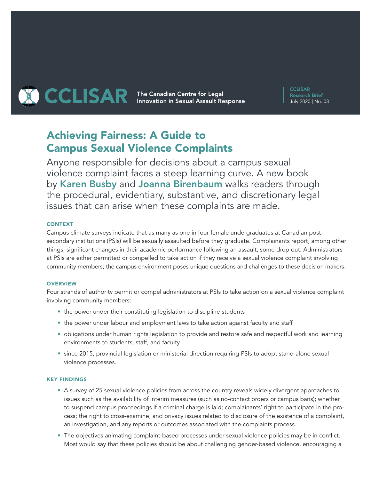# **THE CAR The Canadian Centre for Legal CCLISAR** Innovation in Sexual Assault Response

**CCLISAR** Research Brief July 2020 | No. 03

# Achieving Fairness: A Guide to Campus Sexual Violence Complaints

Anyone responsible for decisions about a campus sexual violence complaint faces a steep learning curve. A new book by Karen Busby and Joanna Birenbaum walks readers through the procedural, evidentiary, substantive, and discretionary legal issues that can arise when these complaints are made.

# **CONTEXT**

Campus climate surveys indicate that as many as one in four female undergraduates at Canadian postsecondary institutions (PSIs) will be sexually assaulted before they graduate. Complainants report, among other things, significant changes in their academic performance following an assault; some drop out. Administrators at PSIs are either permitted or compelled to take action if they receive a sexual violence complaint involving community members; the campus environment poses unique questions and challenges to these decision makers.

# **OVERVIEW**

Four strands of authority permit or compel administrators at PSIs to take action on a sexual violence complaint involving community members:

- the power under their constituting legislation to discipline students
- the power under labour and employment laws to take action against faculty and staff
- obligations under human rights legislation to provide and restore safe and respectful work and learning environments to students, staff, and faculty
- since 2015, provincial legislation or ministerial direction requiring PSIs to adopt stand-alone sexual violence processes.

# KEY FINDINGS

- A survey of 25 sexual violence policies from across the country reveals widely divergent approaches to issues such as the availability of interim measures (such as no-contact orders or campus bans); whether to suspend campus proceedings if a criminal charge is laid; complainants' right to participate in the process; the right to cross-examine; and privacy issues related to disclosure of the existence of a complaint, an investigation, and any reports or outcomes associated with the complaints process.
- The objectives animating complaint-based processes under sexual violence policies may be in conflict. Most would say that these policies should be about challenging gender-based violence, encouraging a